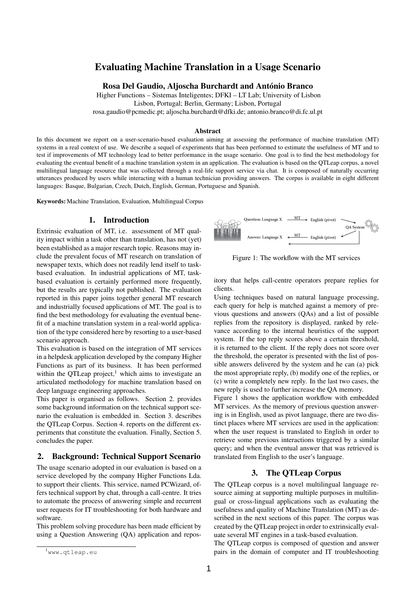# Evaluating Machine Translation in a Usage Scenario

Rosa Del Gaudio, Aljoscha Burchardt and Antonio Branco ´

Higher Functions – Sistemas Inteligentes; DFKI – LT Lab; University of Lisbon Lisbon, Portugal; Berlin, Germany; Lisbon, Portugal rosa.gaudio@pcmedic.pt; aljoscha.burchardt@dfki.de; antonio.branco@di.fc.ul.pt

#### Abstract

In this document we report on a user-scenario-based evaluation aiming at assessing the performance of machine translation (MT) systems in a real context of use. We describe a sequel of experiments that has been performed to estimate the usefulness of MT and to test if improvements of MT technology lead to better performance in the usage scenario. One goal is to find the best methodology for evaluating the eventual benefit of a machine translation system in an application. The evaluation is based on the QTLeap corpus, a novel multilingual language resource that was collected through a real-life support service via chat. It is composed of naturally occurring utterances produced by users while interacting with a human technician providing answers. The corpus is available in eight different languages: Basque, Bulgarian, Czech, Dutch, English, German, Portuguese and Spanish.

Keywords: Machine Translation, Evaluation, Multilingual Corpus

### 1. Introduction

Extrinsic evaluation of MT, i.e. assessment of MT quality impact within a task other than translation, has not (yet) been established as a major research topic. Reasons may include the prevalent focus of MT research on translation of newspaper texts, which does not readily lend itself to taskbased evaluation. In industrial applications of MT, taskbased evaluation is certainly performed more frequently, but the results are typically not published. The evaluation reported in this paper joins together general MT research and industrially focused applications of MT. The goal is to find the best methodology for evaluating the eventual benefit of a machine translation system in a real-world application of the type considered here by resorting to a user-based scenario approach.

This evaluation is based on the integration of MT services in a helpdesk application developed by the company Higher Functions as part of its business. It has been performed within the QTLeap project, $1$  which aims to investigate an articulated methodology for machine translation based on deep language engineering approaches.

This paper is organised as follows. Section 2. provides some background information on the technical support scenario the evaluation is embedded in. Section 3. describes the QTLeap Corpus. Section 4. reports on the different experiments that constitute the evaluation. Finally, Section 5. concludes the paper.

### 2. Background: Technical Support Scenario

The usage scenario adopted in our evaluation is based on a service developed by the company Higher Functions Lda. to support their clients. This service, named PCWizard, offers technical support by chat, through a call-centre. It tries to automate the process of answering simple and recurrent user requests for IT troubleshooting for both hardware and software.

This problem solving procedure has been made efficient by using a Question Answering (QA) application and repos-



Figure 1: The workflow with the MT services

itory that helps call-centre operators prepare replies for clients.

Using techniques based on natural language processing, each query for help is matched against a memory of previous questions and answers (QAs) and a list of possible replies from the repository is displayed, ranked by relevance according to the internal heuristics of the support system. If the top reply scores above a certain threshold, it is returned to the client. If the reply does not score over the threshold, the operator is presented with the list of possible answers delivered by the system and he can (a) pick the most appropriate reply, (b) modify one of the replies, or (c) write a completely new reply. In the last two cases, the new reply is used to further increase the QA memory.

Figure 1 shows the application workflow with embedded MT services. As the memory of previous question answering is in English, used as pivot language, there are two distinct places where MT services are used in the application: when the user request is translated to English in order to retrieve some previous interactions triggered by a similar query; and when the eventual answer that was retrieved is translated from English to the user's language.

### 3. The QTLeap Corpus

The QTLeap corpus is a novel multilingual language resource aiming at supporting multiple purposes in multilingual or cross-lingual applications such as evaluating the usefulness and quality of Machine Translation (MT) as described in the next sections of this paper. The corpus was created by the QTLeap project in order to extrinsically evaluate several MT engines in a task-based evaluation.

The QTLeap corpus is composed of question and answer pairs in the domain of computer and IT troubleshooting

<sup>1</sup>www.qtleap.eu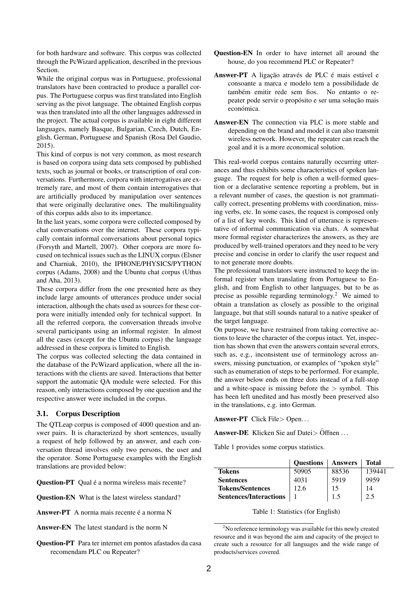for both hardware and software. This corpus was collected through the PcWizard application, described in the previous Section.

While the original corpus was in Portuguese, professional translators have been contracted to produce a parallel corpus. The Portuguese corpus was first translated into English serving as the pivot language. The obtained English corpus was then translated into all the other languages addressed in the project. The actual corpus is available in eight different languages, namely Basque, Bulgarian, Czech, Dutch, English, German, Portuguese and Spanish (Rosa Del Gaudio, 2015).

This kind of corpus is not very common, as most research is based on corpora using data sets composed by published texts, such as journal or books, or transcription of oral conversations. Furthermore, corpora with interrogatives are extremely rare, and most of them contain interrogatives that are artificially produced by manipulation over sentences that were originally declarative ones. The multilinguality of this corpus adds also to its importance.

In the last years, some corpora were collected composed by chat conversations over the internet. These corpora typically contain informal conversations about personal topics (Forsyth and Martell, 2007). Other corpora are more focused on technical issues such as the LINUX corpus (Elsner and Charniak, 2010), the IPHONE/PHYSICS/PYTHON corpus (Adams, 2008) and the Ubuntu chat corpus (Uthus and Aha, 2013).

These corpora differ from the one presented here as they include large amounts of utterances produce under social interaction, although the chats used as sources for these corpora were initially intended only for technical support. In all the referred corpora, the conversation threads involve several participants using an informal register. In almost all the cases (except for the Ubuntu corpus) the language addressed in these corpora is limited to English.

The corpus was collected selecting the data contained in the database of the PcWizard application, where all the interactions with the clients are saved. Interactions that better support the automatic QA module were selected. For this reason, only interactions composed by one question and the respective answer were included in the corpus.

### 3.1. Corpus Description

The QTLeap corpus is composed of 4000 question and answer pairs. It is characterized by short sentences, usually a request of help followed by an answer, and each conversation thread involves only two persons, the user and the operator. Some Portuguese examples with the English translations are provided below:

Question-PT Qual é a norma wireless mais recente?

Question-EN What is the latest wireless standard?

Answer-PT A norma mais recente é a norma N

Answer-EN The latest standard is the norm N

Question-PT Para ter internet em pontos afastados da casa recomendam PLC ou Repeater?

- Question-EN In order to have internet all around the house, do you recommend PLC or Repeater?
- Answer-PT A ligação através de PLC é mais estável e consoante a marca e modelo tem a possibilidade de também emitir rede sem fios. No entanto o repeater pode servir o propósito e ser uma solução mais económica.
- Answer-EN The connection via PLC is more stable and depending on the brand and model it can also transmit wireless network. However, the repeater can reach the goal and it is a more economical solution.

This real-world corpus contains naturally occurring utterances and thus exhibits some characteristics of spoken language. The request for help is often a well-formed question or a declarative sentence reporting a problem, but in a relevant number of cases, the question is not grammatically correct, presenting problems with coordination, missing verbs, etc. In some cases, the request is composed only of a list of key words. This kind of utterance is representative of informal communication via chats. A somewhat more formal register characterizes the answers, as they are produced by well-trained operators and they need to be very precise and concise in order to clarify the user request and to not generate more doubts.

The professional translators were instructed to keep the informal register when translating from Portuguese to English, and from English to other languages, but to be as precise as possible regarding terminology.<sup>2</sup> We aimed to obtain a translation as closely as possible to the original language, but that still sounds natural to a native speaker of the target language.

On purpose, we have restrained from taking corrective actions to leave the character of the corpus intact. Yet, inspection has shown that even the answers contain several errors, such as, e.g., inconsistent use of terminology across answers, missing punctuation, or examples of "spoken style" such as enumeration of steps to be performed. For example, the answer below ends on three dots instead of a full-stop and a white-space is missing before the  $>$  symbol. This has been left unedited and has mostly been preserved also in the translations, e.g. into German.

Answer-PT Click File > Open...

Answer-DE Klicken Sie auf Datei > Öffnen ...

Table 1 provides some corpus statistics.

|                               | <b>Ouestions</b> | <b>Answers</b> | <b>Total</b> |
|-------------------------------|------------------|----------------|--------------|
| Tokens                        | 50905            | 88536          | 139441       |
| <b>Sentences</b>              | 4031             | 5919           | 9959         |
| <b>Tokens/Sentences</b>       | 12.6             | 15             | 14           |
| <b>Sentences/Interactions</b> |                  | 1.5            | 2.5          |

Table 1: Statistics (for English)

<sup>&</sup>lt;sup>2</sup>No reference terminology was available for this newly created resource and it was beyond the aim and capacity of the project to create such a resource for all languages and the wide range of products/services covered.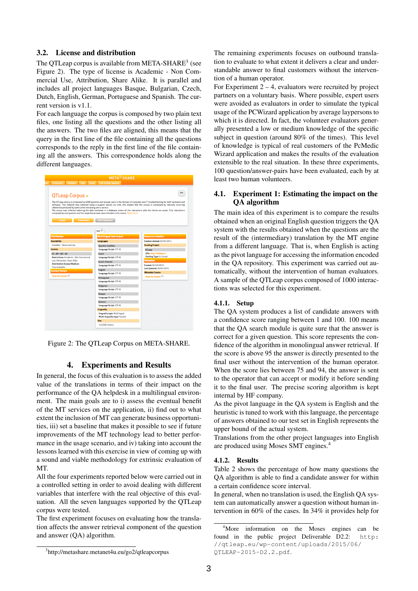### 3.2. License and distribution

The QTLeap corpus is available from META-SHARE<sup>3</sup> (see Figure 2). The type of license is Academic - Non Commercial Use, Attribution, Share Alike. It is parallel and includes all project languages Basque, Bulgarian, Czech, Dutch, English, German, Portuguese and Spanish. The current version is v1.1.

For each language the corpus is composed by two plain text files, one listing all the questions and the other listing all the answers. The two files are aligned, this means that the query in the first line of the file containing all the questions corresponds to the reply in the first line of the file containing all the answers. This correspondence holds along the different languages.

| <b>QTLeap Corpus</b>                                                                        |                                                                                                                   | 204                                                                                                                                                                                                                                                                                                                                                                                                                               |
|---------------------------------------------------------------------------------------------|-------------------------------------------------------------------------------------------------------------------|-----------------------------------------------------------------------------------------------------------------------------------------------------------------------------------------------------------------------------------------------------------------------------------------------------------------------------------------------------------------------------------------------------------------------------------|
| utterances produced by users while interacting with a service.<br>« Back<br><b>Download</b> | composed by one question and the respective answer were included in the corpus. Read Less<br><b>Edit Resource</b> | The QTLeap corpus is composed by 4000 question and answer pairs in the domain of computer and IT troubleshooting for both hardware and<br>software. This material was collected using a support service via chat, this implies that the corpus is composed by naturally occurring<br>The corous was collected selecting the data contained in a database where all the interactions with the clients are saved. Only interactions |
|                                                                                             | text <sup>1</sup>                                                                                                 |                                                                                                                                                                                                                                                                                                                                                                                                                                   |
| <b>Distribution</b>                                                                         | <b>Multilingual text corpus</b>                                                                                   | <b>Resource Creation</b>                                                                                                                                                                                                                                                                                                                                                                                                          |
| <b>Availability</b>                                                                         | Languages                                                                                                         | Creation started: 02/01/2014                                                                                                                                                                                                                                                                                                                                                                                                      |
| Available - Restricted Use                                                                  | Spanish; Castilian                                                                                                | <b>Funding Project</b>                                                                                                                                                                                                                                                                                                                                                                                                            |
| Licence                                                                                     | Language Script: UTF-8                                                                                            | <b>OTLeap</b>                                                                                                                                                                                                                                                                                                                                                                                                                     |
| $CC - BY - MC - SA$                                                                         | Czech                                                                                                             | URL: http://qtleap.eu                                                                                                                                                                                                                                                                                                                                                                                                             |
| Restrictions: Academic - Non Commercial                                                     | Language Script: UTF-8                                                                                            | <b>Funding Type: Eu Funds</b>                                                                                                                                                                                                                                                                                                                                                                                                     |
| Use, Attribution, Share Alike<br><b>Distribution Access/Medium:</b>                         | <b>Dutch: Flemish</b>                                                                                             | <b>Metadata</b>                                                                                                                                                                                                                                                                                                                                                                                                                   |
| Downloadable                                                                                | Language Script: UTF-8                                                                                            | Created: 04/23/2015                                                                                                                                                                                                                                                                                                                                                                                                               |
| <b>Contact Person</b>                                                                       | <b>English</b>                                                                                                    | Last Updated: 05/07/2015                                                                                                                                                                                                                                                                                                                                                                                                          |
| <b>Rosa Del Gaudio ALI</b>                                                                  | Language Script: UTF-8                                                                                            | Metadata Creator                                                                                                                                                                                                                                                                                                                                                                                                                  |
|                                                                                             | Portuguese                                                                                                        | <b>Rosa Del Gaudio (RE)</b>                                                                                                                                                                                                                                                                                                                                                                                                       |
|                                                                                             | Language Script: UTF-8                                                                                            |                                                                                                                                                                                                                                                                                                                                                                                                                                   |
|                                                                                             | <b>Bulgarian</b>                                                                                                  |                                                                                                                                                                                                                                                                                                                                                                                                                                   |
|                                                                                             | Language Script: UTF-8                                                                                            |                                                                                                                                                                                                                                                                                                                                                                                                                                   |
|                                                                                             | <b>Basque</b>                                                                                                     |                                                                                                                                                                                                                                                                                                                                                                                                                                   |
|                                                                                             | <b>Language Script: UTF-8</b>                                                                                     |                                                                                                                                                                                                                                                                                                                                                                                                                                   |
|                                                                                             | German                                                                                                            |                                                                                                                                                                                                                                                                                                                                                                                                                                   |
|                                                                                             | Language Script: UTF-8                                                                                            |                                                                                                                                                                                                                                                                                                                                                                                                                                   |
|                                                                                             | <b>Linguality</b>                                                                                                 |                                                                                                                                                                                                                                                                                                                                                                                                                                   |
|                                                                                             | <b>Linguality type: Multilingual</b>                                                                              |                                                                                                                                                                                                                                                                                                                                                                                                                                   |
|                                                                                             | Multi-linguality type: Parallel                                                                                   |                                                                                                                                                                                                                                                                                                                                                                                                                                   |

Figure 2: The QTLeap Corpus on META-SHARE.

# 4. Experiments and Results

In general, the focus of this evaluation is to assess the added value of the translations in terms of their impact on the performance of the QA helpdesk in a multilingual environment. The main goals are to i) assess the eventual benefit of the MT services on the application, ii) find out to what extent the inclusion of MT can generate business opportunities, iii) set a baseline that makes it possible to see if future improvements of the MT technology lead to better performance in the usage scenario, and iv) taking into account the lessons learned with this exercise in view of coming up with a sound and viable methodology for extrinsic evaluation of MT.

All the four experiments reported below were carried out in a controlled setting in order to avoid dealing with different variables that interfere with the real objective of this evaluation. All the seven languages supported by the QTLeap corpus were tested.

The first experiment focuses on evaluating how the translation affects the answer retrieval component of the question and answer (QA) algorithm.

The remaining experiments focuses on outbound translation to evaluate to what extent it delivers a clear and understandable answer to final customers without the intervention of a human operator.

For Experiment  $2 - 4$ , evaluators were recruited by project partners on a voluntary basis. Where possible, expert users were avoided as evaluators in order to simulate the typical usage of the PCWizard application by average laypersons to which it is directed. In fact, the volunteer evaluators generally presented a low or medium knowledge of the specific subject in question (around 80% of the times). This level of knowledge is typical of real customers of the PcMedic Wizard application and makes the results of the evaluation extensible to the real situation. In these three experiments, 100 question/answer-pairs have been evaluated, each by at least two human volunteers.

### 4.1. Experiment 1: Estimating the impact on the QA algorithm

The main idea of this experiment is to compare the results obtained when an original English question triggers the QA system with the results obtained when the questions are the result of the (intermediary) translation by the MT engine from a different language. That is, when English is acting as the pivot language for accessing the information encoded in the QA repository. This experiment was carried out automatically, without the intervention of human evaluators. A sample of the QTLeap corpus composed of 1000 interactions was selected for this experiment.

### 4.1.1. Setup

The QA system produces a list of candidate answers with a confidence score ranging between 1 and 100. 100 means that the QA search module is quite sure that the answer is correct for a given question. This score represents the confidence of the algorithm in monolingual answer retrieval. If the score is above 95 the answer is directly presented to the final user without the intervention of the human operator. When the score lies between 75 and 94, the answer is sent to the operator that can accept or modify it before sending it to the final user. The precise scoring algorithm is kept internal by HF company.

As the pivot language in the QA system is English and the heuristic is tuned to work with this language, the percentage of answers obtained to our test set in English represents the upper bound of the actual system.

Translations from the other project languages into English are produced using Moses SMT engines.<sup>4</sup>

### 4.1.2. Results

Table 2 shows the percentage of how many questions the QA algorithm is able to find a candidate answer for within a certain confidence score interval.

In general, when no translation is used, the English QA system can automatically answer a question without human intervention in 60% of the cases. In 34% it provides help for

<sup>4</sup>More information on the Moses engines can be found in the public project Deliverable D2.2: http: //qtleap.eu/wp-content/uploads/2015/06/ QTLEAP-2015-D2.2.pdf.

<sup>3</sup> http://metashare.metanet4u.eu/go2/qtleapcorpus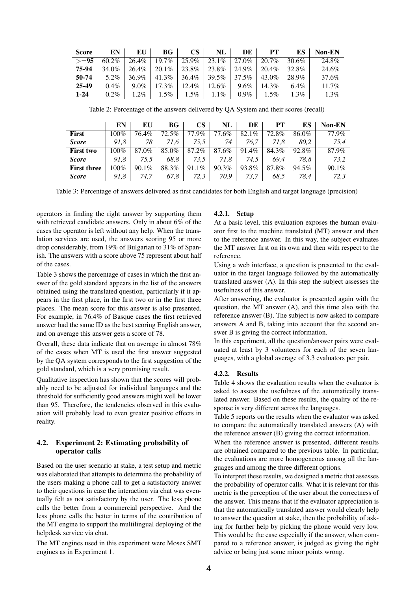| <b>Score</b> | EN      | EU      | BGF      | CS       | NL    | DE      | PТ       | ES      | Non-EN   |
|--------------|---------|---------|----------|----------|-------|---------|----------|---------|----------|
| $>= 95$      | 60.2%   | 26.4%   | 19.7%    | 25.9%    | 23.1% | 27.0%   | 20.7%    | 30.6%   | 24.8%    |
| 75-94        | 34.0%   | 26.4%   | $20.1\%$ | 23.8%    | 23.8% | 24.9%   | 20.4%    | 32.8%   | 24.6%    |
| 50-74        | $5.2\%$ | 36.9%   | 41.3%    | 36.4%    | 39.5% | 37.5%   | 43.0%    | 28.9%   | 37.6%    |
| 25-49        | $0.4\%$ | $9.0\%$ | $17.3\%$ | $12.4\%$ | 12.6% | $9.6\%$ | $14.3\%$ | $6.4\%$ | $11.7\%$ |
| $1 - 24$     | $0.2\%$ | $1.2\%$ | $1.5\%$  | $1.5\%$  | 1%    | $0.9\%$ | .5%      | 1.3%    | $1.3\%$  |

Table 2: Percentage of the answers delivered by QA System and their scores (recall)

|                    | EN   | EU    | BG    | $\mathbf{CS}$ | NL    | DE    | PT    | ES    | Non-EN |
|--------------------|------|-------|-------|---------------|-------|-------|-------|-------|--------|
| <b>First</b>       | 100% | 76.4% | 72.5% | 77.9%         | 77.6% | 82.1% | 72.8% | 86.0% | 77.9%  |
| <b>Score</b>       | 91.8 | 78    | 71.6  | 75.5          | 74    | 76.7  | 71.8  | 80.2  | 75,4   |
| <b>First two</b>   | 100% | 87.0% | 85.0% | 87.2%         | 87.6% | 91.4% | 84.3% | 92.8% | 87.9%  |
| <b>Score</b>       | 91.8 | 75.5  | 68.8  | 73.5          | 71.8  | 74.5  | 69.4  | 78.8  | 73,2   |
| <b>First three</b> | 100% | 90.1% | 88.3% | 91.1%         | 90.3% | 93.8% | 87.8% | 94.5% | 90.1%  |
| <b>Score</b>       | 91,8 | 74.7  | 67,8  | 72,3          | 70,9  | 73.7  | 68.5  | 78,4  | 72,3   |

Table 3: Percentage of answers delivered as first candidates for both English and target language (precision)

operators in finding the right answer by supporting them with retrieved candidate answers. Only in about 6% of the cases the operator is left without any help. When the translation services are used, the answers scoring 95 or more drop considerably, from 19% of Bulgarian to 31% of Spanish. The answers with a score above 75 represent about half of the cases.

Table 3 shows the percentage of cases in which the first answer of the gold standard appears in the list of the answers obtained using the translated question, particularly if it appears in the first place, in the first two or in the first three places. The mean score for this answer is also presented. For example, in 76.4% of Basque cases the first retrieved answer had the same ID as the best scoring English answer, and on average this answer gets a score of 78.

Overall, these data indicate that on average in almost 78% of the cases when MT is used the first answer suggested by the QA system corresponds to the first suggestion of the gold standard, which is a very promising result.

Qualitative inspection has shown that the scores will probably need to be adjusted for individual languages and the threshold for sufficiently good answers might well be lower than 95. Therefore, the tendencies observed in this evaluation will probably lead to even greater positive effects in reality.

### 4.2. Experiment 2: Estimating probability of operator calls

Based on the user scenario at stake, a test setup and metric was elaborated that attempts to determine the probability of the users making a phone call to get a satisfactory answer to their questions in case the interaction via chat was eventually felt as not satisfactory by the user. The less phone calls the better from a commercial perspective. And the less phone calls the better in terms of the contribution of the MT engine to support the multilingual deploying of the helpdesk service via chat.

The MT engines used in this experiment were Moses SMT engines as in Experiment 1.

#### 4.2.1. Setup

At a basic level, this evaluation exposes the human evaluator first to the machine translated (MT) answer and then to the reference answer. In this way, the subject evaluates the MT answer first on its own and then with respect to the reference.

Using a web interface, a question is presented to the evaluator in the target language followed by the automatically translated answer (A). In this step the subject assesses the usefulness of this answer.

After answering, the evaluator is presented again with the question, the MT answer (A), and this time also with the reference answer (B). The subject is now asked to compare answers A and B, taking into account that the second answer B is giving the correct information.

In this experiment, all the question/answer pairs were evaluated at least by 3 volunteers for each of the seven languages, with a global average of 3.3 evaluators per pair.

### 4.2.2. Results

Table 4 shows the evaluation results when the evaluator is asked to assess the usefulness of the automatically translated answer. Based on these results, the quality of the response is very different across the languages.

Table 5 reports on the results when the evaluator was asked to compare the automatically translated answers (A) with the reference answer (B) giving the correct information.

When the reference answer is presented, different results are obtained compared to the previous table. In particular, the evaluations are more homogeneous among all the languages and among the three different options.

To interpret these results, we designed a metric that assesses the probability of operator calls. What it is relevant for this metric is the perception of the user about the correctness of the answer. This means that if the evaluator appreciation is that the automatically translated answer would clearly help to answer the question at stake, then the probability of asking for further help by picking the phone would very low. This would be the case especially if the answer, when compared to a reference answer, is judged as giving the right advice or being just some minor points wrong.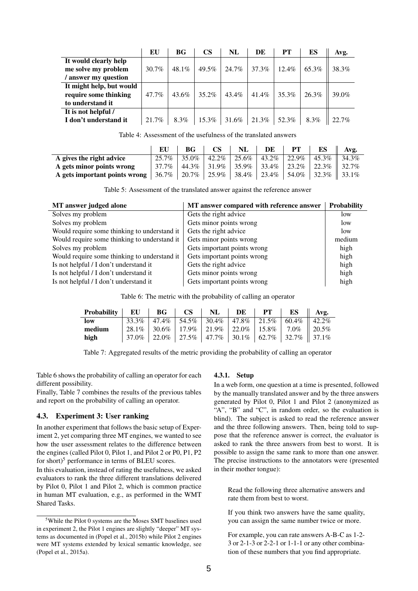|                          | EU       | BG <sub>f</sub> | <b>CS</b> | NL    | DE    | <b>PT</b> | ES    | Avg.  |
|--------------------------|----------|-----------------|-----------|-------|-------|-----------|-------|-------|
| It would clearly help    |          |                 |           |       |       |           |       |       |
| me solve my problem      | $30.7\%$ | $48.1\%$        | $49.5\%$  | 24.7% | 37.3% | 12.4%     | 65.3% | 38.3% |
| / answer my question     |          |                 |           |       |       |           |       |       |
| It might help, but would |          |                 |           |       |       |           |       |       |
| require some thinking    | $47.7\%$ | 43.6%           | 35.2%     | 43.4% | 41.4% | 35.3%     | 26.3% | 39.0% |
| to understand it         |          |                 |           |       |       |           |       |       |
| It is not helpful /      |          |                 |           |       |       |           |       |       |
| I don't understand it    | 21.7%    | 8.3%            | 15.3%     | 31.6% | 21.3% | 52.3%     | 8.3%  | 22.7% |

Table 4: Assessment of the usefulness of the translated answers

|                               |       | BG         | CS        | NL               | DE                                  | PТ    | ES                    | Avg. |
|-------------------------------|-------|------------|-----------|------------------|-------------------------------------|-------|-----------------------|------|
| A gives the right advice      | 25.7% | 35.0%      |           | $42.2\%$   25.6% | 43.2%                               | 22.9% | $1.45.3\%$ $1.34.3\%$ |      |
| A gets minor points wrong     | 37.7% | $44.3\%$ 1 | $131.9\%$ | $35.9\%$         | $\vert$ 33.4% $\vert$ 23.2% $\vert$ |       | 22.3%    32.7%        |      |
| A gets important points wrong | 36.7% | 20.7%      | $125.9\%$ | 38.4%            | 23.4%                               | 54.0% | $32.3\%$    33.1\%    |      |

Table 5: Assessment of the translated answer against the reference answer

| MT answer judged alone                       | MT answer compared with reference answer | Probability |
|----------------------------------------------|------------------------------------------|-------------|
| Solves my problem                            | Gets the right advice                    | low         |
| Solves my problem                            | Gets minor points wrong                  | low         |
| Would require some thinking to understand it | Gets the right advice                    | low         |
| Would require some thinking to understand it | Gets minor points wrong                  | medium      |
| Solves my problem                            | Gets important points wrong              | high        |
| Would require some thinking to understand it | Gets important points wrong              | high        |
| Is not helpful / I don't understand it       | Gets the right advice                    | high        |
| Is not helpful / I don't understand it       | Gets minor points wrong                  | high        |
| Is not helpful / I don't understand it       | Gets important points wrong              | high        |

Table 6: The metric with the probability of calling an operator

| Probability   EU   BG   CS |  |  | $NL$   $DE$ | $PT$ |                                                                          | $ES \parallel Avg.$ |
|----------------------------|--|--|-------------|------|--------------------------------------------------------------------------|---------------------|
| low                        |  |  |             |      | $33.3\%$   47.4\%   54.5\%   30.4\%   47.8\%   21.5\%   60.4\%    42.2\% |                     |
| medium                     |  |  |             |      | $28.1\%$ 30.6\%   17.9\%   21.9\%   22.0\%   15.8\%   7.0\%    20.5\%    |                     |
| high                       |  |  |             |      | $37.0\%$   22.0\%   27.5\%   47.7\%   30.1\%   62.7\%   32.7\%    37.1\% |                     |

Table 7: Aggregated results of the metric providing the probability of calling an operator

Table 6 shows the probability of calling an operator for each different possibility.

Finally, Table 7 combines the results of the previous tables and report on the probability of calling an operator.

### 4.3. Experiment 3: User ranking

In another experiment that follows the basic setup of Experiment 2, yet comparing three MT engines, we wanted to see how the user assessment relates to the difference between the engines (called Pilot 0, Pilot 1, and Pilot 2 or P0, P1, P2 for short)<sup>5</sup> performance in terms of BLEU scores.

In this evaluation, instead of rating the usefulness, we asked evaluators to rank the three different translations delivered by Pilot 0, Pilot 1 and Pilot 2, which is common practice in human MT evaluation, e.g., as performed in the WMT Shared Tasks.

### 4.3.1. Setup

In a web form, one question at a time is presented, followed by the manually translated answer and by the three answers generated by Pilot 0, Pilot 1 and Pilot 2 (anonymized as "A", "B" and "C", in random order, so the evaluation is blind). The subject is asked to read the reference answer and the three following answers. Then, being told to suppose that the reference answer is correct, the evaluator is asked to rank the three answers from best to worst. It is possible to assign the same rank to more than one answer. The precise instructions to the annotators were (presented in their mother tongue):

Read the following three alternative answers and rate them from best to worst.

If you think two answers have the same quality, you can assign the same number twice or more.

For example, you can rate answers A-B-C as 1-2- 3 or 2-1-3 or 2-2-1 or 1-1-1 or any other combination of these numbers that you find appropriate.

<sup>5</sup>While the Pilot 0 systems are the Moses SMT baselines used in experiment 2, the Pilot 1 engines are slightly "deeper" MT systems as documented in (Popel et al., 2015b) while Pilot 2 engines were MT systems extended by lexical semantic knowledge, see (Popel et al., 2015a).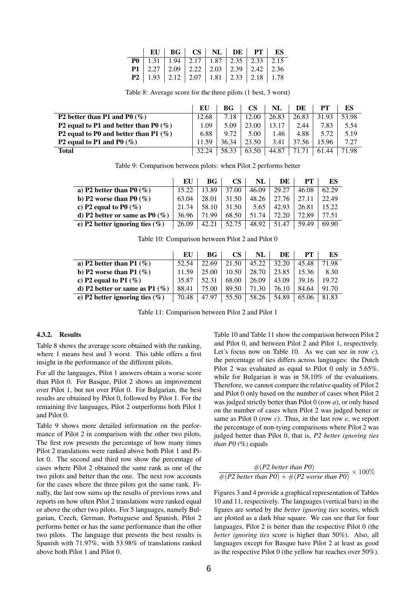|  | EU BG CS NL DE PT ES                                                                         |  |  |  |
|--|----------------------------------------------------------------------------------------------|--|--|--|
|  | <b>P0</b>   1.31   1.94   2.17   1.87   2.35   2.33   2.15                                   |  |  |  |
|  |                                                                                              |  |  |  |
|  | <b>P1</b> 2.27 2.09 2.22 2.03 2.39 2.42 2.36<br><b>P2</b> 1.93 2.12 2.07 1.81 2.33 2.18 1.78 |  |  |  |

Table 8: Average score for the three pilots (1 best, 3 worst)

|                                          | EU    | BG <sub>r</sub> | CS    | NL    | DE    | PТ    | ES    |
|------------------------------------------|-------|-----------------|-------|-------|-------|-------|-------|
| P2 better than P1 and P0 $(\%)$          | 12.68 | 7.18            | 12.00 | 26.83 | 26.83 | 31.93 | 53.98 |
| P2 equal to P1 and better than P0 $(\%)$ | 1.09  | 5.09            | 23.00 | 13.17 | 2.44  | 7.83  | 5.54  |
| P2 equal to P0 and better than P1 $(\%)$ | 6.88  | 9.72            | 5.00  | .46   | 4.88  | 5.72  | 5.19  |
| P2 equal to P1 and P0 $(\%)$             | 11.59 | 36.34           | 23.50 | 3.41  | 37.56 | 15.96 | 7.27  |
| <b>Total</b>                             | 32.24 | 58.33           | 63.50 | 44.87 |       | 61.44 | 71.98 |

Table 9: Comparison between pilots: when Pilot 2 performs better

|                                    | EU    | $_{\rm BG}$ | CS    | NL    | DE    | PТ    | ES    |
|------------------------------------|-------|-------------|-------|-------|-------|-------|-------|
| a) P2 better than P0 $(\% )$       | 15.22 | 13.89       | 37.00 | 46.09 | 29.27 | 46.08 | 62.29 |
| b) P2 worse than P0 $(\%)$         | 63.04 | 28.01       | 31.50 | 48.26 | 27.76 | 27.11 | 22.49 |
| c) P2 equal to P0 $(\%)$           | 21.74 | 58.10       | 31.50 | 5.65  | 42.93 | 26.81 | 15.22 |
| d) P2 better or same as P0 $(\%)$  | 36.96 | 71.99       | 68.50 | 51.74 | 72.20 | 72.89 | 77.51 |
| e) P2 better ignoring ties $(\% )$ | 26.09 | 42.21       | 52.75 | 48.92 | 51.47 | 59.49 | 69.90 |

Table 10: Comparison between Pilot 2 and Pilot 0

|                                   | EU    | BG-   | CS    | NL    | DE    | PТ    | ES    |
|-----------------------------------|-------|-------|-------|-------|-------|-------|-------|
| a) P2 better than P1 $(\%)$       | 52.54 | 22.69 | 21.50 | 45.22 | 32.20 | 45.48 | 71.98 |
| b) P2 worse than P1 $(\%)$        | 11.59 | 25.00 | 10.50 | 28.70 | 23.85 | 15.36 | 8.30  |
| c) P2 equal to P1 $(\%)$          | 35.87 | 52.31 | 68.00 | 26.09 | 43.09 | 39.16 | 19.72 |
| d) P2 better or same as P1 $(\%)$ | 88.41 | 75.00 | 89.50 | 71.30 | 76.10 | 84.64 | 91.70 |
| e) P2 better ignoring ties $(\%)$ | 70.48 | 47.97 | 55.50 | 58.26 | 54.89 | 65.06 | 81.83 |

Table 11: Comparison between Pilot 2 and Pilot 1

#### 4.3.2. Results

Table 8 shows the average score obtained with the ranking, where 1 means best and 3 worst. This table offers a first insight in the performance of the different pilots.

For all the languages, Pilot 1 answers obtain a worse score than Pilot 0. For Basque, Pilot 2 shows an improvement over Pilot 1, but not over Pilot 0. For Bulgarian, the best results are obtained by Pilot 0, followed by Pilot 1. For the remaining five languages, Pilot 2 outperforms both Pilot 1 and Pilot 0.

Table 9 shows more detailed information on the performance of Pilot 2 in comparison with the other two pilots. The first row presents the percentage of how many times Pilot 2 translations were ranked above both Pilot 1 and Pilot 0. The second and third row show the percentage of cases where Pilot 2 obtained the same rank as one of the two pilots and better than the one. The next row accounts for the cases where the three pilots got the same rank. Finally, the last row sums up the results of previous rows and reports on how often Pilot 2 translations were ranked equal or above the other two pilots. For 5 languages, namely Bulgarian, Czech, German, Portuguese and Spanish, Pilot 2 performs better or has the same performance than the other two pilots. The language that presents the best results is Spanish with 71.97%, with 53.98% of translations ranked above both Pilot 1 and Pilot 0.

Table 10 and Table 11 show the comparison between Pilot 2 and Pilot 0, and between Pilot 2 and Pilot 1, respectively. Let's focus now on Table 10. As we can see in row *c*), the percentage of ties differs across languages: the Dutch Pilot 2 was evaluated as equal to Pilot 0 only in 5.65%, while for Bulgarian it was in 58.10% of the evaluations. Therefore, we cannot compare the relative quality of Pilot 2 and Pilot 0 only based on the number of cases when Pilot 2 was judged strictly better than Pilot 0 (row *a*), or only based on the number of cases when Pilot 2 was judged better or same as Pilot 0 (row *c*). Thus, in the last row *e*, we report the percentage of non-tying comparisons where Pilot 2 was judged better than Pilot 0, that is, *P2 better ignoring ties than P0 (%)* equals

$$
\frac{\#(P2 \text{ better than } P0)}{\#(P2 \text{ better than } P0) + \#(P2 \text{ worse than } P0)} \times 100\%
$$

Figures 3 and 4 provide a graphical representation of Tables 10 and 11, respectively. The languages (vertical bars) in the figures are sorted by the *better ignoring ties* scores, which are plotted as a dark blue square. We can see that for four languages, Pilot 2 is better than the respective Pilot 0 (the *better ignoring ties* score is higher than 50%). Also, all languages except for Basque have Pilot 2 at least as good as the respective Pilot 0 (the yellow bar reaches over 50%).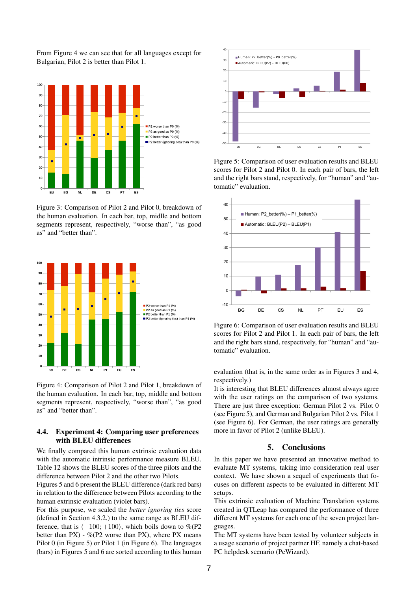From Figure 4 we can see that for all languages except for Bulgarian, Pilot 2 is better than Pilot 1.



Figure 3: Comparison of Pilot 2 and Pilot 0, breakdown of the human evaluation. In each bar, top, midlle and bottom segments represent, respectively, "worse than", "as good as" and "better than".



Figure 4: Comparison of Pilot 2 and Pilot 1, breakdown of the human evaluation. In each bar, top, middle and bottom segments represent, respectively, "worse than", "as good as" and "better than".

### 4.4. Experiment 4: Comparing user preferences with BLEU differences

We finally compared this human extrinsic evaluation data with the automatic intrinsic performance measure BLEU. Table 12 shows the BLEU scores of the three pilots and the difference between Pilot 2 and the other two Pilots.

Figures 5 and 6 present the BLEU difference (dark red bars) in relation to the difference between Pilots according to the human extrinsic evaluation (violet bars).

For this purpose, we scaled the *better ignoring ties* score (defined in Section 4.3.2.) to the same range as BLEU difference, that is  $\langle -100; +100 \rangle$ , which boils down to %(P2 better than  $PX$ ) - %(P2 worse than PX), where PX means Pilot 0 (in Figure 5) or Pilot 1 (in Figure 6). The languages (bars) in Figures 5 and 6 are sorted according to this human



Figure 5: Comparison of user evaluation results and BLEU scores for Pilot 2 and Pilot 0. In each pair of bars, the left and the right bars stand, respectively, for "human" and "automatic" evaluation.



Figure 6: Comparison of user evaluation results and BLEU scores for Pilot 2 and Pilot 1. In each pair of bars, the left and the right bars stand, respectively, for "human" and "automatic" evaluation.

evaluation (that is, in the same order as in Figures 3 and 4, respectively.)

It is interesting that BLEU differences almost always agree with the user ratings on the comparison of two systems. There are just three exception: German Pilot 2 vs. Pilot 0 (see Figure 5), and German and Bulgarian Pilot 2 vs. Pilot 1 (see Figure 6). For German, the user ratings are generally more in favor of Pilot 2 (unlike BLEU).

# 5. Conclusions

In this paper we have presented an innovative method to evaluate MT systems, taking into consideration real user context. We have shown a sequel of experiments that focuses on different aspects to be evaluated in different MT setups.

This extrinsic evaluation of Machine Translation systems created in QTLeap has compared the performance of three different MT systems for each one of the seven project languages.

The MT systems have been tested by volunteer subjects in a usage scenario of project partner HF, namely a chat-based PC helpdesk scenario (PcWizard).